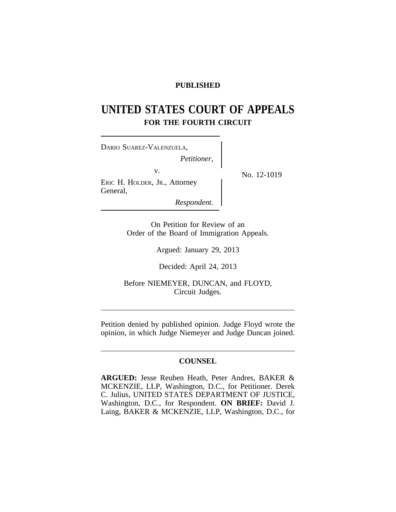# **PUBLISHED**

# **UNITED STATES COURT OF APPEALS FOR THE FOURTH CIRCUIT**

| DARIO SUAREZ-VALENZUELA,<br>Petitioner,         |             |
|-------------------------------------------------|-------------|
| V.<br>ERIC H. HOLDER, JR., Attorney<br>General, | No. 12-1019 |
| Respondent.                                     |             |

On Petition for Review of an Order of the Board of Immigration Appeals.

Argued: January 29, 2013

Decided: April 24, 2013

Before NIEMEYER, DUNCAN, and FLOYD, Circuit Judges.

Petition denied by published opinion. Judge Floyd wrote the opinion, in which Judge Niemeyer and Judge Duncan joined.

# **COUNSEL**

**ARGUED:** Jesse Reuben Heath, Peter Andres, BAKER & MCKENZIE, LLP, Washington, D.C., for Petitioner. Derek C. Julius, UNITED STATES DEPARTMENT OF JUSTICE, Washington, D.C., for Respondent. **ON BRIEF:** David J. Laing, BAKER & MCKENZIE, LLP, Washington, D.C., for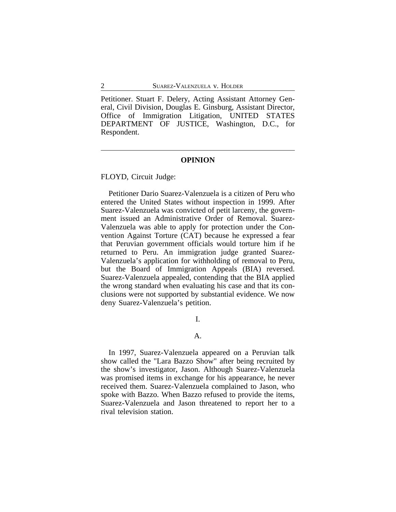Petitioner. Stuart F. Delery, Acting Assistant Attorney General, Civil Division, Douglas E. Ginsburg, Assistant Director, Office of Immigration Litigation, UNITED STATES DEPARTMENT OF JUSTICE, Washington, D.C., for Respondent.

## **OPINION**

FLOYD, Circuit Judge:

Petitioner Dario Suarez-Valenzuela is a citizen of Peru who entered the United States without inspection in 1999. After Suarez-Valenzuela was convicted of petit larceny, the government issued an Administrative Order of Removal. Suarez-Valenzuela was able to apply for protection under the Convention Against Torture (CAT) because he expressed a fear that Peruvian government officials would torture him if he returned to Peru. An immigration judge granted Suarez-Valenzuela's application for withholding of removal to Peru, but the Board of Immigration Appeals (BIA) reversed. Suarez-Valenzuela appealed, contending that the BIA applied the wrong standard when evaluating his case and that its conclusions were not supported by substantial evidence. We now deny Suarez-Valenzuela's petition.

I.

#### A.

In 1997, Suarez-Valenzuela appeared on a Peruvian talk show called the "Lara Bazzo Show" after being recruited by the show's investigator, Jason. Although Suarez-Valenzuela was promised items in exchange for his appearance, he never received them. Suarez-Valenzuela complained to Jason, who spoke with Bazzo. When Bazzo refused to provide the items, Suarez-Valenzuela and Jason threatened to report her to a rival television station.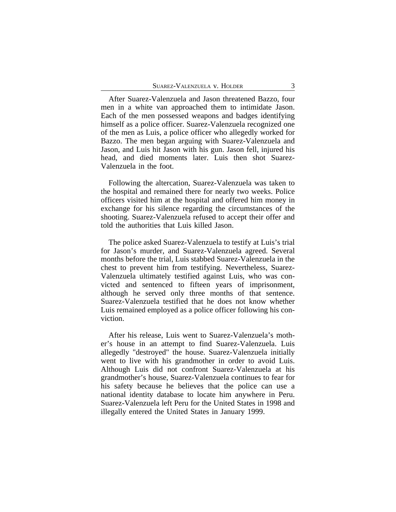After Suarez-Valenzuela and Jason threatened Bazzo, four men in a white van approached them to intimidate Jason. Each of the men possessed weapons and badges identifying himself as a police officer. Suarez-Valenzuela recognized one of the men as Luis, a police officer who allegedly worked for Bazzo. The men began arguing with Suarez-Valenzuela and Jason, and Luis hit Jason with his gun. Jason fell, injured his head, and died moments later. Luis then shot Suarez-Valenzuela in the foot.

Following the altercation, Suarez-Valenzuela was taken to the hospital and remained there for nearly two weeks. Police officers visited him at the hospital and offered him money in exchange for his silence regarding the circumstances of the shooting. Suarez-Valenzuela refused to accept their offer and told the authorities that Luis killed Jason.

The police asked Suarez-Valenzuela to testify at Luis's trial for Jason's murder, and Suarez-Valenzuela agreed. Several months before the trial, Luis stabbed Suarez-Valenzuela in the chest to prevent him from testifying. Nevertheless, Suarez-Valenzuela ultimately testified against Luis, who was convicted and sentenced to fifteen years of imprisonment, although he served only three months of that sentence. Suarez-Valenzuela testified that he does not know whether Luis remained employed as a police officer following his conviction.

After his release, Luis went to Suarez-Valenzuela's mother's house in an attempt to find Suarez-Valenzuela. Luis allegedly "destroyed" the house. Suarez-Valenzuela initially went to live with his grandmother in order to avoid Luis. Although Luis did not confront Suarez-Valenzuela at his grandmother's house, Suarez-Valenzuela continues to fear for his safety because he believes that the police can use a national identity database to locate him anywhere in Peru. Suarez-Valenzuela left Peru for the United States in 1998 and illegally entered the United States in January 1999.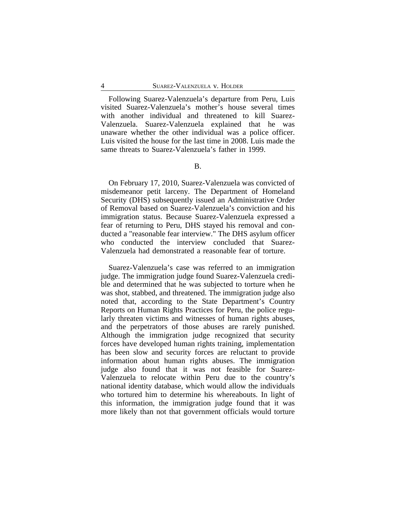Following Suarez-Valenzuela's departure from Peru, Luis visited Suarez-Valenzuela's mother's house several times with another individual and threatened to kill Suarez-Valenzuela. Suarez-Valenzuela explained that he was unaware whether the other individual was a police officer. Luis visited the house for the last time in 2008. Luis made the same threats to Suarez-Valenzuela's father in 1999.

On February 17, 2010, Suarez-Valenzuela was convicted of misdemeanor petit larceny. The Department of Homeland Security (DHS) subsequently issued an Administrative Order of Removal based on Suarez-Valenzuela's conviction and his immigration status. Because Suarez-Valenzuela expressed a fear of returning to Peru, DHS stayed his removal and conducted a "reasonable fear interview." The DHS asylum officer who conducted the interview concluded that Suarez-Valenzuela had demonstrated a reasonable fear of torture.

Suarez-Valenzuela's case was referred to an immigration judge. The immigration judge found Suarez-Valenzuela credible and determined that he was subjected to torture when he was shot, stabbed, and threatened. The immigration judge also noted that, according to the State Department's Country Reports on Human Rights Practices for Peru, the police regularly threaten victims and witnesses of human rights abuses, and the perpetrators of those abuses are rarely punished. Although the immigration judge recognized that security forces have developed human rights training, implementation has been slow and security forces are reluctant to provide information about human rights abuses. The immigration judge also found that it was not feasible for Suarez-Valenzuela to relocate within Peru due to the country's national identity database, which would allow the individuals who tortured him to determine his whereabouts. In light of this information, the immigration judge found that it was more likely than not that government officials would torture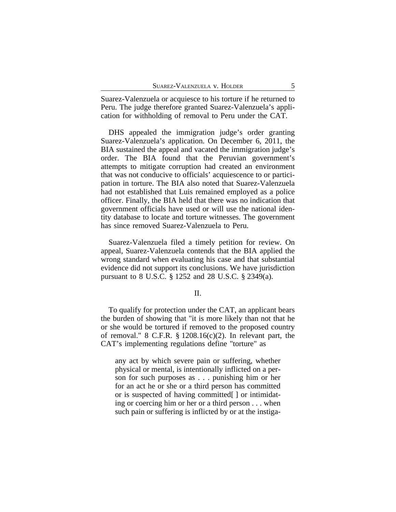Suarez-Valenzuela or acquiesce to his torture if he returned to Peru. The judge therefore granted Suarez-Valenzuela's application for withholding of removal to Peru under the CAT.

DHS appealed the immigration judge's order granting Suarez-Valenzuela's application. On December 6, 2011, the BIA sustained the appeal and vacated the immigration judge's order. The BIA found that the Peruvian government's attempts to mitigate corruption had created an environment that was not conducive to officials' acquiescence to or participation in torture. The BIA also noted that Suarez-Valenzuela had not established that Luis remained employed as a police officer. Finally, the BIA held that there was no indication that government officials have used or will use the national identity database to locate and torture witnesses. The government has since removed Suarez-Valenzuela to Peru.

Suarez-Valenzuela filed a timely petition for review. On appeal, Suarez-Valenzuela contends that the BIA applied the wrong standard when evaluating his case and that substantial evidence did not support its conclusions. We have jurisdiction pursuant to 8 U.S.C. § 1252 and 28 U.S.C. § 2349(a).

# II.

To qualify for protection under the CAT, an applicant bears the burden of showing that "it is more likely than not that he or she would be tortured if removed to the proposed country of removal."  $8$  C.F.R.  $\frac{8}{9}$  1208.16(c)(2). In relevant part, the CAT's implementing regulations define "torture" as

any act by which severe pain or suffering, whether physical or mental, is intentionally inflicted on a person for such purposes as . . . punishing him or her for an act he or she or a third person has committed or is suspected of having committed[ ] or intimidating or coercing him or her or a third person . . . when such pain or suffering is inflicted by or at the instiga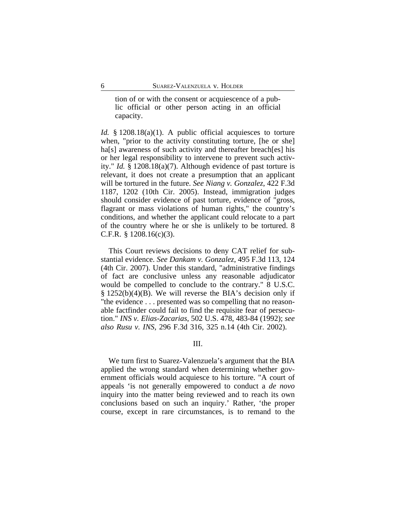tion of or with the consent or acquiescence of a public official or other person acting in an official capacity.

*Id.* § 1208.18(a)(1). A public official acquiesces to torture when, "prior to the activity constituting torture, [he or she] ha[s] awareness of such activity and thereafter breach[es] his or her legal responsibility to intervene to prevent such activity." *Id.* § 1208.18(a)(7). Although evidence of past torture is relevant, it does not create a presumption that an applicant will be tortured in the future. *See Niang v. Gonzalez*, 422 F.3d 1187, 1202 (10th Cir. 2005). Instead, immigration judges should consider evidence of past torture, evidence of "gross, flagrant or mass violations of human rights," the country's conditions, and whether the applicant could relocate to a part of the country where he or she is unlikely to be tortured. 8 C.F.R. § 1208.16(c)(3).

This Court reviews decisions to deny CAT relief for substantial evidence. *See Dankam v. Gonzalez*, 495 F.3d 113, 124 (4th Cir. 2007). Under this standard, "administrative findings of fact are conclusive unless any reasonable adjudicator would be compelled to conclude to the contrary." 8 U.S.C. § 1252(b)(4)(B). We will reverse the BIA's decision only if "the evidence . . . presented was so compelling that no reasonable factfinder could fail to find the requisite fear of persecution." *INS v. Elias-Zacarias*, 502 U.S. 478, 483-84 (1992); *see also Rusu v. INS*, 296 F.3d 316, 325 n.14 (4th Cir. 2002).

#### III.

We turn first to Suarez-Valenzuela's argument that the BIA applied the wrong standard when determining whether government officials would acquiesce to his torture. "A court of appeals 'is not generally empowered to conduct a *de novo* inquiry into the matter being reviewed and to reach its own conclusions based on such an inquiry.' Rather, 'the proper course, except in rare circumstances, is to remand to the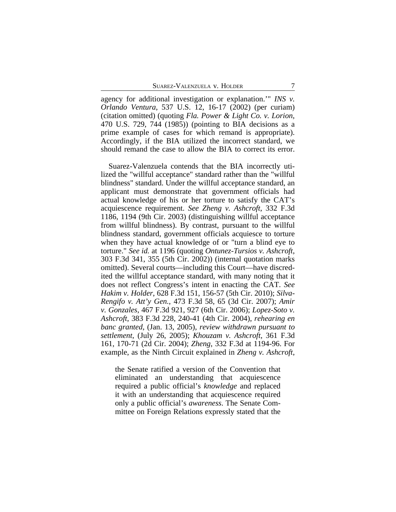agency for additional investigation or explanation.'" *INS v. Orlando Ventura*, 537 U.S. 12, 16-17 (2002) (per curiam) (citation omitted) (quoting *Fla. Power & Light Co. v. Lorion*, 470 U.S. 729, 744 (1985)) (pointing to BIA decisions as a prime example of cases for which remand is appropriate). Accordingly, if the BIA utilized the incorrect standard, we should remand the case to allow the BIA to correct its error.

Suarez-Valenzuela contends that the BIA incorrectly utilized the "willful acceptance" standard rather than the "willful blindness" standard. Under the willful acceptance standard, an applicant must demonstrate that government officials had actual knowledge of his or her torture to satisfy the CAT's acquiescence requirement. *See Zheng v. Ashcroft*, 332 F.3d 1186, 1194 (9th Cir. 2003) (distinguishing willful acceptance from willful blindness). By contrast, pursuant to the willful blindness standard, government officials acquiesce to torture when they have actual knowledge of or "turn a blind eye to torture." *See id.* at 1196 (quoting *Ontunez-Tursios v. Ashcroft*, 303 F.3d 341, 355 (5th Cir. 2002)) (internal quotation marks omitted). Several courts—including this Court—have discredited the willful acceptance standard, with many noting that it does not reflect Congress's intent in enacting the CAT. *See Hakim v. Holder*, 628 F.3d 151, 156-57 (5th Cir. 2010); *Silva-Rengifo v. Att'y Gen.*, 473 F.3d 58, 65 (3d Cir. 2007); *Amir v. Gonzales*, 467 F.3d 921, 927 (6th Cir. 2006); *Lopez-Soto v. Ashcroft*, 383 F.3d 228, 240-41 (4th Cir. 2004), *rehearing en banc granted*, (Jan. 13, 2005), *review withdrawn pursuant to settlement*, (July 26, 2005); *Khouzam v. Ashcroft*, 361 F.3d 161, 170-71 (2d Cir. 2004); *Zheng*, 332 F.3d at 1194-96. For example, as the Ninth Circuit explained in *Zheng v. Ashcroft*,

the Senate ratified a version of the Convention that eliminated an understanding that acquiescence required a public official's *knowledge* and replaced it with an understanding that acquiescence required only a public official's *awareness*. The Senate Committee on Foreign Relations expressly stated that the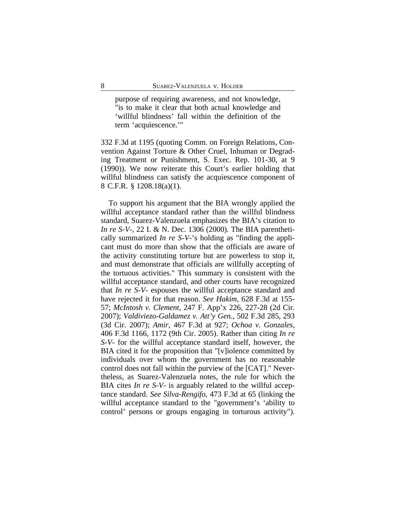purpose of requiring awareness, and not knowledge, "is to make it clear that both actual knowledge and 'willful blindness' fall within the definition of the term 'acquiescence.'"

332 F.3d at 1195 (quoting Comm. on Foreign Relations, Convention Against Torture & Other Cruel, Inhuman or Degrading Treatment or Punishment, S. Exec. Rep. 101-30, at 9 (1990)). We now reiterate this Court's earlier holding that willful blindness can satisfy the acquiescence component of 8 C.F.R. § 1208.18(a)(1).

To support his argument that the BIA wrongly applied the willful acceptance standard rather than the willful blindness standard, Suarez-Valenzuela emphasizes the BIA's citation to *In re S-V-*, 22 I. & N. Dec. 1306 (2000). The BIA parenthetically summarized *In re S-V-*'s holding as "finding the applicant must do more than show that the officials are aware of the activity constituting torture but are powerless to stop it, and must demonstrate that officials are willfully accepting of the tortuous activities." This summary is consistent with the willful acceptance standard, and other courts have recognized that *In re S-V-* espouses the willful acceptance standard and have rejected it for that reason. *See Hakim*, 628 F.3d at 155- 57; *McIntosh v. Clement*, 247 F. App'x 226, 227-28 (2d Cir. 2007); *Valdiviezo-Galdamez v. Att'y Gen.*, 502 F.3d 285, 293 (3d Cir. 2007); *Amir*, 467 F.3d at 927; *Ochoa v. Gonzales*, 406 F.3d 1166, 1172 (9th Cir. 2005). Rather than citing *In re S-V-* for the willful acceptance standard itself, however, the BIA cited it for the proposition that "[v]iolence committed by individuals over whom the government has no reasonable control does not fall within the purview of the [CAT]." Nevertheless, as Suarez-Valenzuela notes, the rule for which the BIA cites *In re S-V-* is arguably related to the willful acceptance standard. *See Silva-Rengifo*, 473 F.3d at 65 (linking the willful acceptance standard to the "government's 'ability to control' persons or groups engaging in torturous activity").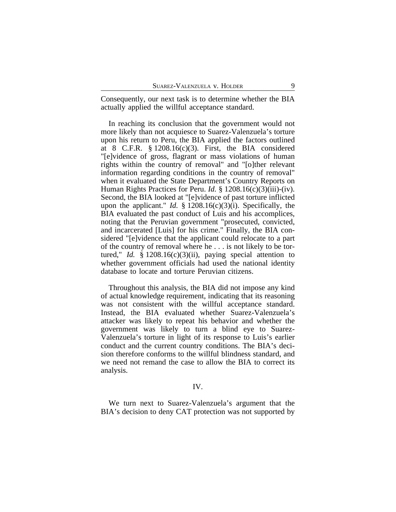Consequently, our next task is to determine whether the BIA actually applied the willful acceptance standard.

In reaching its conclusion that the government would not more likely than not acquiesce to Suarez-Valenzuela's torture upon his return to Peru, the BIA applied the factors outlined at 8 C.F.R.  $\S 1208.16(c)(3)$ . First, the BIA considered "[e]vidence of gross, flagrant or mass violations of human rights within the country of removal" and "[o]ther relevant information regarding conditions in the country of removal" when it evaluated the State Department's Country Reports on Human Rights Practices for Peru. *Id.* § 1208.16(c)(3)(iii)-(iv). Second, the BIA looked at "[e]vidence of past torture inflicted upon the applicant." *Id.* § 1208.16(c)(3)(i). Specifically, the BIA evaluated the past conduct of Luis and his accomplices, noting that the Peruvian government "prosecuted, convicted, and incarcerated [Luis] for his crime." Finally, the BIA considered "[e]vidence that the applicant could relocate to a part of the country of removal where he . . . is not likely to be tortured," *Id.* § 1208.16(c)(3)(ii), paying special attention to whether government officials had used the national identity database to locate and torture Peruvian citizens.

Throughout this analysis, the BIA did not impose any kind of actual knowledge requirement, indicating that its reasoning was not consistent with the willful acceptance standard. Instead, the BIA evaluated whether Suarez-Valenzuela's attacker was likely to repeat his behavior and whether the government was likely to turn a blind eye to Suarez-Valenzuela's torture in light of its response to Luis's earlier conduct and the current country conditions. The BIA's decision therefore conforms to the willful blindness standard, and we need not remand the case to allow the BIA to correct its analysis.

## IV.

We turn next to Suarez-Valenzuela's argument that the BIA's decision to deny CAT protection was not supported by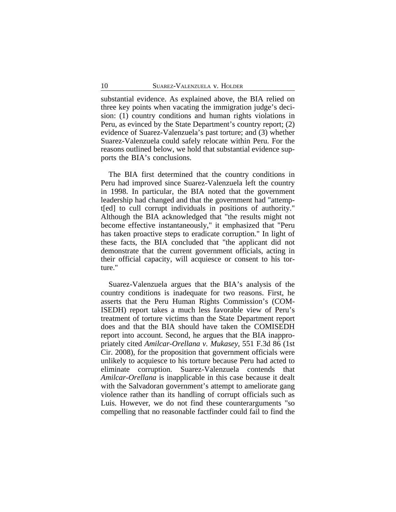substantial evidence. As explained above, the BIA relied on three key points when vacating the immigration judge's decision: (1) country conditions and human rights violations in Peru, as evinced by the State Department's country report; (2) evidence of Suarez-Valenzuela's past torture; and (3) whether Suarez-Valenzuela could safely relocate within Peru. For the reasons outlined below, we hold that substantial evidence supports the BIA's conclusions.

The BIA first determined that the country conditions in Peru had improved since Suarez-Valenzuela left the country in 1998. In particular, the BIA noted that the government leadership had changed and that the government had "attempt[ed] to cull corrupt individuals in positions of authority." Although the BIA acknowledged that "the results might not become effective instantaneously," it emphasized that "Peru has taken proactive steps to eradicate corruption." In light of these facts, the BIA concluded that "the applicant did not demonstrate that the current government officials, acting in their official capacity, will acquiesce or consent to his torture."

Suarez-Valenzuela argues that the BIA's analysis of the country conditions is inadequate for two reasons. First, he asserts that the Peru Human Rights Commission's (COM-ISEDH) report takes a much less favorable view of Peru's treatment of torture victims than the State Department report does and that the BIA should have taken the COMISEDH report into account. Second, he argues that the BIA inappropriately cited *Amilcar-Orellana v. Mukasey*, 551 F.3d 86 (1st Cir. 2008), for the proposition that government officials were unlikely to acquiesce to his torture because Peru had acted to eliminate corruption. Suarez-Valenzuela contends that *Amilcar-Orellana* is inapplicable in this case because it dealt with the Salvadoran government's attempt to ameliorate gang violence rather than its handling of corrupt officials such as Luis. However, we do not find these counterarguments "so compelling that no reasonable factfinder could fail to find the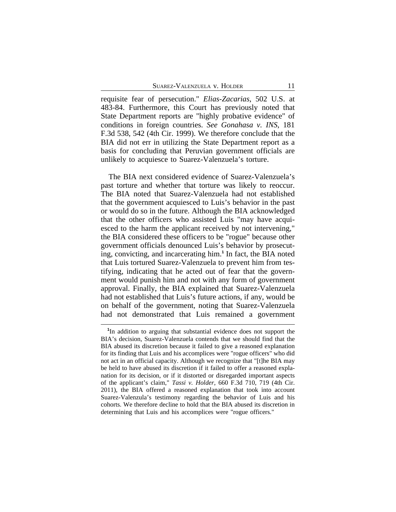requisite fear of persecution." *Elias-Zacarias*, 502 U.S. at 483-84. Furthermore, this Court has previously noted that State Department reports are "highly probative evidence" of conditions in foreign countries. *See Gonahasa v. INS*, 181 F.3d 538, 542 (4th Cir. 1999). We therefore conclude that the BIA did not err in utilizing the State Department report as a basis for concluding that Peruvian government officials are unlikely to acquiesce to Suarez-Valenzuela's torture.

The BIA next considered evidence of Suarez-Valenzuela's past torture and whether that torture was likely to reoccur. The BIA noted that Suarez-Valenzuela had not established that the government acquiesced to Luis's behavior in the past or would do so in the future. Although the BIA acknowledged that the other officers who assisted Luis "may have acquiesced to the harm the applicant received by not intervening," the BIA considered these officers to be "rogue" because other government officials denounced Luis's behavior by prosecuting, convicting, and incarcerating him.**<sup>1</sup>** In fact, the BIA noted that Luis tortured Suarez-Valenzuela to prevent him from testifying, indicating that he acted out of fear that the government would punish him and not with any form of government approval. Finally, the BIA explained that Suarez-Valenzuela had not established that Luis's future actions, if any, would be on behalf of the government, noting that Suarez-Valenzuela had not demonstrated that Luis remained a government

**<sup>1</sup>** In addition to arguing that substantial evidence does not support the BIA's decision, Suarez-Valenzuela contends that we should find that the BIA abused its discretion because it failed to give a reasoned explanation for its finding that Luis and his accomplices were "rogue officers" who did not act in an official capacity. Although we recognize that "[t]he BIA may be held to have abused its discretion if it failed to offer a reasoned explanation for its decision, or if it distorted or disregarded important aspects of the applicant's claim," *Tassi v. Holder*, 660 F.3d 710, 719 (4th Cir. 2011), the BIA offered a reasoned explanation that took into account Suarez-Valenzula's testimony regarding the behavior of Luis and his cohorts. We therefore decline to hold that the BIA abused its discretion in determining that Luis and his accomplices were "rogue officers."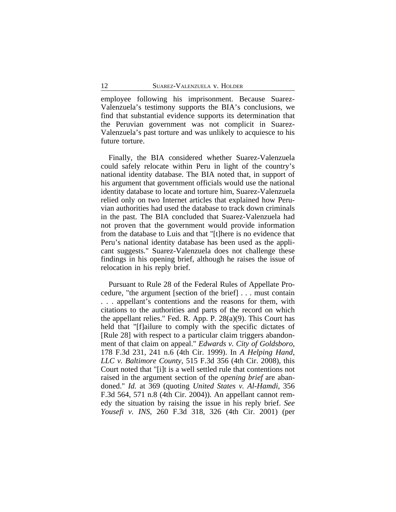employee following his imprisonment. Because Suarez-Valenzuela's testimony supports the BIA's conclusions, we find that substantial evidence supports its determination that the Peruvian government was not complicit in Suarez-Valenzuela's past torture and was unlikely to acquiesce to his future torture.

Finally, the BIA considered whether Suarez-Valenzuela could safely relocate within Peru in light of the country's national identity database. The BIA noted that, in support of his argument that government officials would use the national identity database to locate and torture him, Suarez-Valenzuela relied only on two Internet articles that explained how Peruvian authorities had used the database to track down criminals in the past. The BIA concluded that Suarez-Valenzuela had not proven that the government would provide information from the database to Luis and that "[t]here is no evidence that Peru's national identity database has been used as the applicant suggests." Suarez-Valenzuela does not challenge these findings in his opening brief, although he raises the issue of relocation in his reply brief.

Pursuant to Rule 28 of the Federal Rules of Appellate Procedure, "the argument [section of the brief] . . . must contain . . . appellant's contentions and the reasons for them, with citations to the authorities and parts of the record on which the appellant relies." Fed. R. App. P. 28(a)(9). This Court has held that "[f]ailure to comply with the specific dictates of [Rule 28] with respect to a particular claim triggers abandonment of that claim on appeal." *Edwards v. City of Goldsboro*, 178 F.3d 231, 241 n.6 (4th Cir. 1999). In *A Helping Hand, LLC v. Baltimore County*, 515 F.3d 356 (4th Cir. 2008), this Court noted that "[i]t is a well settled rule that contentions not raised in the argument section of the *opening brief* are abandoned." *Id.* at 369 (quoting *United States v. Al-Hamdi*, 356 F.3d 564, 571 n.8 (4th Cir. 2004)). An appellant cannot remedy the situation by raising the issue in his reply brief. *See Yousefi v. INS*, 260 F.3d 318, 326 (4th Cir. 2001) (per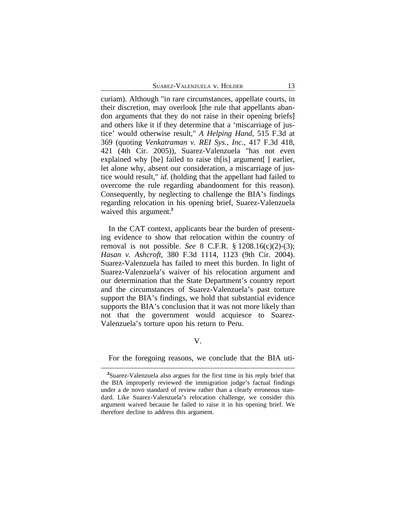curiam). Although "in rare circumstances, appellate courts, in their discretion, may overlook [the rule that appellants abandon arguments that they do not raise in their opening briefs] and others like it if they determine that a 'miscarriage of justice' would otherwise result," *A Helping Hand*, 515 F.3d at 369 (quoting *Venkatraman v. REI Sys., Inc.*, 417 F.3d 418, 421 (4th Cir. 2005)), Suarez-Valenzuela "has not even explained why [he] failed to raise th[is] argument[] earlier, let alone why, absent our consideration, a miscarriage of justice would result," *id.* (holding that the appellant had failed to overcome the rule regarding abandonment for this reason). Consequently, by neglecting to challenge the BIA's findings regarding relocation in his opening brief, Suarez-Valenzuela waived this argument.**<sup>2</sup>**

In the CAT context, applicants bear the burden of presenting evidence to show that relocation within the country of removal is not possible. *See* 8 C.F.R. § 1208.16(c)(2)-(3); *Hasan v. Ashcroft*, 380 F.3d 1114, 1123 (9th Cir. 2004). Suarez-Valenzuela has failed to meet this burden. In light of Suarez-Valenzuela's waiver of his relocation argument and our determination that the State Department's country report and the circumstances of Suarez-Valenzuela's past torture support the BIA's findings, we hold that substantial evidence supports the BIA's conclusion that it was not more likely than not that the government would acquiesce to Suarez-Valenzuela's torture upon his return to Peru.

V.

For the foregoing reasons, we conclude that the BIA uti-

**<sup>2</sup>**Suarez-Valenzuela also argues for the first time in his reply brief that the BIA improperly reviewed the immigration judge's factual findings under a de novo standard of review rather than a clearly erroneous standard. Like Suarez-Valenzuela's relocation challenge, we consider this argument waived because he failed to raise it in his opening brief. We therefore decline to address this argument.